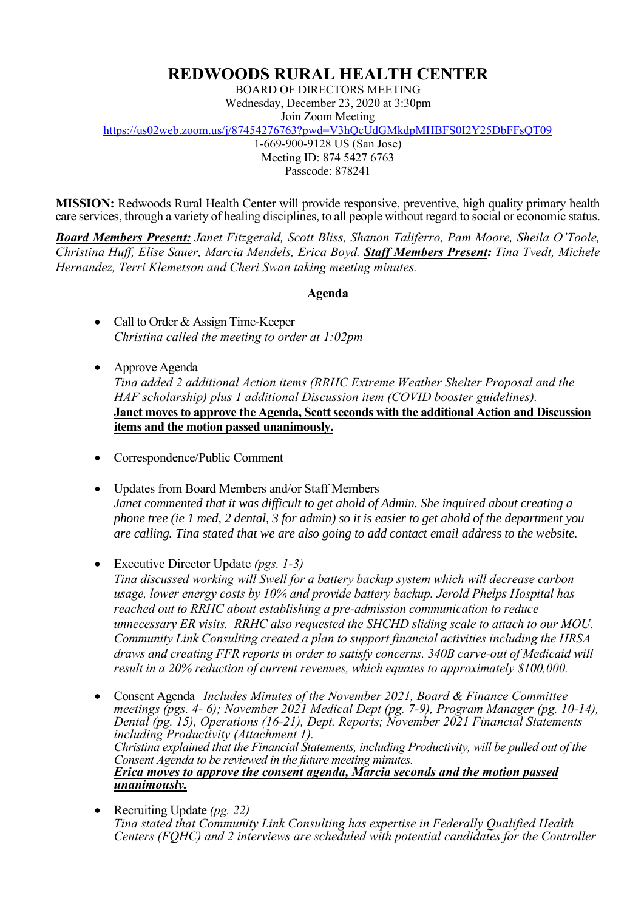## **REDWOODS RURAL HEALTH CENTER**

BOARD OF DIRECTORS MEETING Wednesday, December 23, 2020 at 3:30pm Join Zoom Meeting

<https://us02web.zoom.us/j/87454276763?pwd=V3hQcUdGMkdpMHBFS0I2Y25DbFFsQT09>

1-669-900-9128 US (San Jose)

Meeting ID: 874 5427 6763 Passcode: 878241

**MISSION:** Redwoods Rural Health Center will provide responsive, preventive, high quality primary health care services, through a variety of healing disciplines, to all people without regard to social or economic status.

*Board Members Present: Janet Fitzgerald, Scott Bliss, Shanon Taliferro, Pam Moore, Sheila O'Toole, Christina Huff, Elise Sauer, Marcia Mendels, Erica Boyd. Staff Members Present: Tina Tvedt, Michele Hernandez, Terri Klemetson and Cheri Swan taking meeting minutes.*

## **Agenda**

- Call to Order & Assign Time-Keeper *Christina called the meeting to order at 1:02pm*
- Approve Agenda *Tina added 2 additional Action items (RRHC Extreme Weather Shelter Proposal and the HAF scholarship) plus 1 additional Discussion item (COVID booster guidelines).* **Janet moves to approve the Agenda, Scott seconds with the additional Action and Discussion items and the motion passed unanimously.**
- Correspondence/Public Comment
- Updates from Board Members and/or Staff Members *Janet commented that it was difficult to get ahold of Admin. She inquired about creating a phone tree (ie 1 med, 2 dental, 3 for admin) so it is easier to get ahold of the department you are calling. Tina stated that we are also going to add contact email address to the website.*
- Executive Director Update *(pgs. 1-3) Tina discussed working will Swell for a battery backup system which will decrease carbon usage, lower energy costs by 10% and provide battery backup. Jerold Phelps Hospital has reached out to RRHC about establishing a pre-admission communication to reduce unnecessary ER visits. RRHC also requested the SHCHD sliding scale to attach to our MOU. Community Link Consulting created a plan to support financial activities including the HRSA draws and creating FFR reports in order to satisfy concerns. 340B carve-out of Medicaid will result in a 20% reduction of current revenues, which equates to approximately \$100,000.*
- Consent Agenda *Includes Minutes of the November 2021, Board & Finance Committee meetings (pgs. 4- 6); November 2021 Medical Dept (pg. 7-9), Program Manager (pg. 10-14), Dental (pg. 15), Operations (16-21), Dept. Reports; November 2021 Financial Statements including Productivity (Attachment 1). Christina explained that the Financial Statements, including Productivity, will be pulled out of the Consent Agenda to be reviewed in the future meeting minutes. Erica moves to approve the consent agenda, Marcia seconds and the motion passed unanimously.*
- Recruiting Update *(pg. 22) Tina stated that Community Link Consulting has expertise in Federally Qualified Health Centers (FQHC) and 2 interviews are scheduled with potential candidates for the Controller*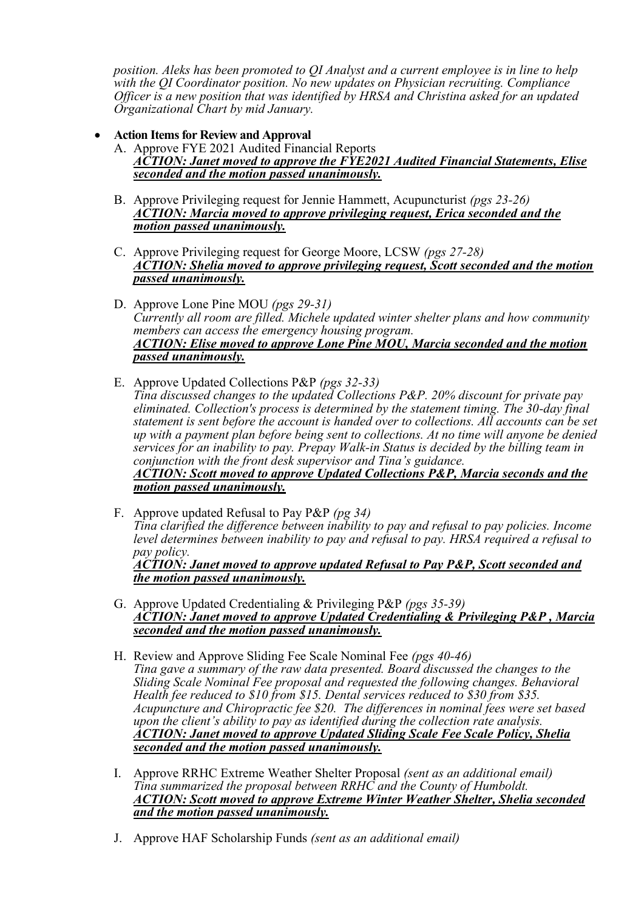*position. Aleks has been promoted to QI Analyst and a current employee is in line to help with the QI Coordinator position. No new updates on Physician recruiting. Compliance Officer is a new position that was identified by HRSA and Christina asked for an updated Organizational Chart by mid January.*

- **Action Itemsfor Review and Approval**
	- A. Approve FYE 2021 Audited Financial Reports *ACTION: Janet moved to approve the FYE2021 Audited Financial Statements, Elise seconded and the motion passed unanimously.*
	- B. Approve Privileging request for Jennie Hammett, Acupuncturist *(pgs 23-26) ACTION: Marcia moved to approve privileging request, Erica seconded and the motion passed unanimously.*
	- C. Approve Privileging request for George Moore, LCSW *(pgs 27-28) ACTION: Shelia moved to approve privileging request, Scott seconded and the motion passed unanimously.*
	- D. Approve Lone Pine MOU *(pgs 29-31) Currently all room are filled. Michele updated winter shelter plans and how community members can access the emergency housing program. ACTION: Elise moved to approve Lone Pine MOU, Marcia seconded and the motion passed unanimously.*
	- E. Approve Updated Collections P&P *(pgs 32-33) Tina discussed changes to the updated Collections P&P. 20% discount for private pay eliminated. Collection's process is determined by the statement timing. The 30-day final statement is sent before the account is handed over to collections. All accounts can be set up with a payment plan before being sent to collections. At no time will anyone be denied services for an inability to pay. Prepay Walk-in Status is decided by the billing team in conjunction with the front desk supervisor and Tina's guidance. ACTION: Scott moved to approve Updated Collections P&P, Marcia seconds and the motion passed unanimously.*
	- F. Approve updated Refusal to Pay P&P *(pg 34) Tina clarified the difference between inability to pay and refusal to pay policies. Income level determines between inability to pay and refusal to pay. HRSA required a refusal to pay policy. ACTION: Janet moved to approve updated Refusal to Pay P&P, Scott seconded and the motion passed unanimously.*
	- G. Approve Updated Credentialing & Privileging P&P *(pgs 35-39) ACTION: Janet moved to approve Updated Credentialing & Privileging P&P , Marcia seconded and the motion passed unanimously.*
	- H. Review and Approve Sliding Fee Scale Nominal Fee *(pgs 40-46) Tina gave a summary of the raw data presented. Board discussed the changes to the Sliding Scale Nominal Fee proposal and requested the following changes. Behavioral Health fee reduced to \$10 from \$15. Dental services reduced to \$30 from \$35. Acupuncture and Chiropractic fee \$20. The differences in nominal fees were set based upon the client's ability to pay as identified during the collection rate analysis. ACTION: Janet moved to approve Updated Sliding Scale Fee Scale Policy, Shelia seconded and the motion passed unanimously.*
	- I. Approve RRHC Extreme Weather Shelter Proposal *(sent as an additional email) Tina summarized the proposal between RRHC and the County of Humboldt. ACTION: Scott moved to approve Extreme Winter Weather Shelter, Shelia seconded and the motion passed unanimously.*
	- J. Approve HAF Scholarship Funds *(sent as an additional email)*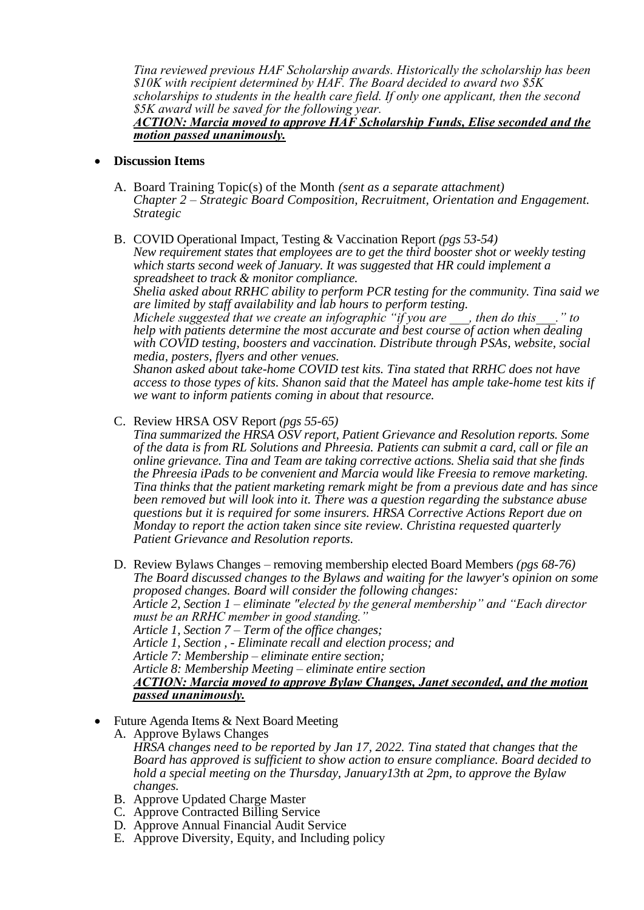*Tina reviewed previous HAF Scholarship awards. Historically the scholarship has been \$10K with recipient determined by HAF. The Board decided to award two \$5K scholarships to students in the health care field. If only one applicant, then the second \$5K award will be saved for the following year.*

## *ACTION: Marcia moved to approve HAF Scholarship Funds, Elise seconded and the motion passed unanimously.*

- **Discussion Items**
	- A. Board Training Topic(s) of the Month *(sent as a separate attachment) Chapter 2 – Strategic Board Composition, Recruitment, Orientation and Engagement. Strategic*
	- B. COVID Operational Impact, Testing & Vaccination Report *(pgs 53-54) New requirement states that employees are to get the third booster shot or weekly testing which starts second week of January. It was suggested that HR could implement a spreadsheet to track & monitor compliance.*

*Shelia asked about RRHC ability to perform PCR testing for the community. Tina said we are limited by staff availability and lab hours to perform testing.* 

*Michele suggested that we create an infographic "if you are \_\_\_, then do this\_\_\_." to help with patients determine the most accurate and best course of action when dealing with COVID testing, boosters and vaccination. Distribute through PSAs, website, social media, posters, flyers and other venues.*

*Shanon asked about take-home COVID test kits. Tina stated that RRHC does not have access to those types of kits. Shanon said that the Mateel has ample take-home test kits if we want to inform patients coming in about that resource.* 

C. Review HRSA OSV Report *(pgs 55-65)*

*Tina summarized the HRSA OSV report, Patient Grievance and Resolution reports. Some of the data is from RL Solutions and Phreesia. Patients can submit a card, call or file an online grievance. Tina and Team are taking corrective actions. Shelia said that she finds the Phreesia iPads to be convenient and Marcia would like Freesia to remove marketing. Tina thinks that the patient marketing remark might be from a previous date and has since been removed but will look into it. There was a question regarding the substance abuse questions but it is required for some insurers. HRSA Corrective Actions Report due on Monday to report the action taken since site review. Christina requested quarterly Patient Grievance and Resolution reports.*

- D. Review Bylaws Changes removing membership elected Board Members *(pgs 68-76) The Board discussed changes to the Bylaws and waiting for the lawyer's opinion on some proposed changes. Board will consider the following changes: Article 2, Section 1 – eliminate "elected by the general membership" and "Each director must be an RRHC member in good standing." Article 1, Section 7 – Term of the office changes; Article 1, Section , - Eliminate recall and election process; and Article 7: Membership – eliminate entire section; Article 8: Membership Meeting – eliminate entire section ACTION: Marcia moved to approve Bylaw Changes, Janet seconded, and the motion passed unanimously.*
- Future Agenda Items & Next Board Meeting
	- A. Approve Bylaws Changes *HRSA changes need to be reported by Jan 17, 2022. Tina stated that changes that the Board has approved is sufficient to show action to ensure compliance. Board decided to hold a special meeting on the Thursday, January13th at 2pm, to approve the Bylaw changes.*
	- B. Approve Updated Charge Master
	- C. Approve Contracted Billing Service
	- D. Approve Annual Financial Audit Service
	- E. Approve Diversity, Equity, and Including policy